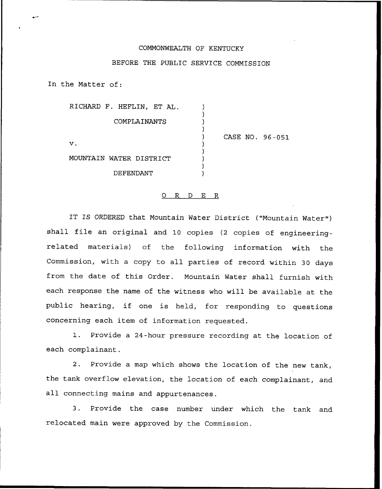## COMMONWEALTH OF KENTUCKY

## BEFORE THE PUBLIC SERVICE COMMISSION

In the Matter of:

RICHARD F. HEFLIN, ET AL. COMPLAINANTS

 $\mathbf v$ .

CASE NO. 96-051

MOUNTAIN WATER DISTRICT

DEFENDANT

## O R D E R

IT IS ORDERED that Mountain Water District ("Mountain Water") shall file an original and 10 copies (2 copies of engineeringrelated materials) of the following information with the Commission, with a copy to all parties of record within 30 days from the date of this Order. Mountain Water shall furnish with each response the name of the witness who will be available at the public hearing, if one is held, for responding to questions concerning each item of information requested.

1. Provide <sup>a</sup> 24-hour pressure recording at the location of each complainant.

2. Provide a map which shows the location of the new tank, the tank overflow elevation, the location of each complainant, and all connecting mains and appurtenances.

3. Provide the case number under which the tank and relocated main were approved by the Commission.